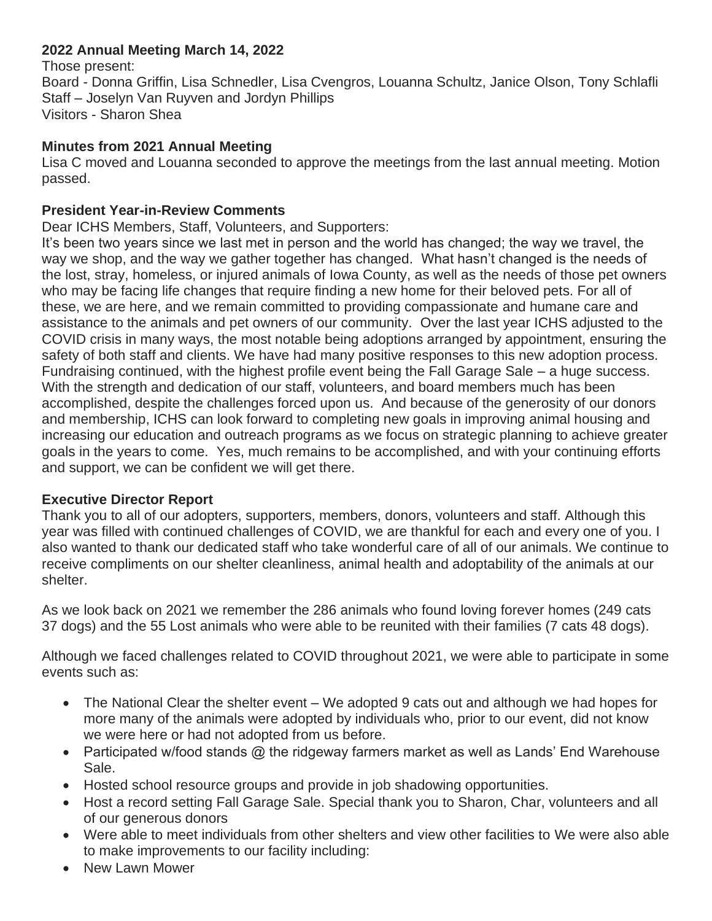# **2022 Annual Meeting March 14, 2022**

Those present: Board - Donna Griffin, Lisa Schnedler, Lisa Cvengros, Louanna Schultz, Janice Olson, Tony Schlafli Staff – Joselyn Van Ruyven and Jordyn Phillips Visitors - Sharon Shea

## **Minutes from 2021 Annual Meeting**

Lisa C moved and Louanna seconded to approve the meetings from the last annual meeting. Motion passed.

### **President Year-in-Review Comments**

Dear ICHS Members, Staff, Volunteers, and Supporters:

It's been two years since we last met in person and the world has changed; the way we travel, the way we shop, and the way we gather together has changed. What hasn't changed is the needs of the lost, stray, homeless, or injured animals of Iowa County, as well as the needs of those pet owners who may be facing life changes that require finding a new home for their beloved pets. For all of these, we are here, and we remain committed to providing compassionate and humane care and assistance to the animals and pet owners of our community. Over the last year ICHS adjusted to the COVID crisis in many ways, the most notable being adoptions arranged by appointment, ensuring the safety of both staff and clients. We have had many positive responses to this new adoption process. Fundraising continued, with the highest profile event being the Fall Garage Sale – a huge success. With the strength and dedication of our staff, volunteers, and board members much has been accomplished, despite the challenges forced upon us. And because of the generosity of our donors and membership, ICHS can look forward to completing new goals in improving animal housing and increasing our education and outreach programs as we focus on strategic planning to achieve greater goals in the years to come. Yes, much remains to be accomplished, and with your continuing efforts and support, we can be confident we will get there.

## **Executive Director Report**

Thank you to all of our adopters, supporters, members, donors, volunteers and staff. Although this year was filled with continued challenges of COVID, we are thankful for each and every one of you. I also wanted to thank our dedicated staff who take wonderful care of all of our animals. We continue to receive compliments on our shelter cleanliness, animal health and adoptability of the animals at our shelter.

As we look back on 2021 we remember the 286 animals who found loving forever homes (249 cats 37 dogs) and the 55 Lost animals who were able to be reunited with their families (7 cats 48 dogs).

Although we faced challenges related to COVID throughout 2021, we were able to participate in some events such as:

- The National Clear the shelter event We adopted 9 cats out and although we had hopes for more many of the animals were adopted by individuals who, prior to our event, did not know we were here or had not adopted from us before.
- Participated w/food stands @ the ridgeway farmers market as well as Lands' End Warehouse Sale.
- Hosted school resource groups and provide in job shadowing opportunities.
- Host a record setting Fall Garage Sale. Special thank you to Sharon, Char, volunteers and all of our generous donors
- Were able to meet individuals from other shelters and view other facilities to We were also able to make improvements to our facility including:
- New Lawn Mower